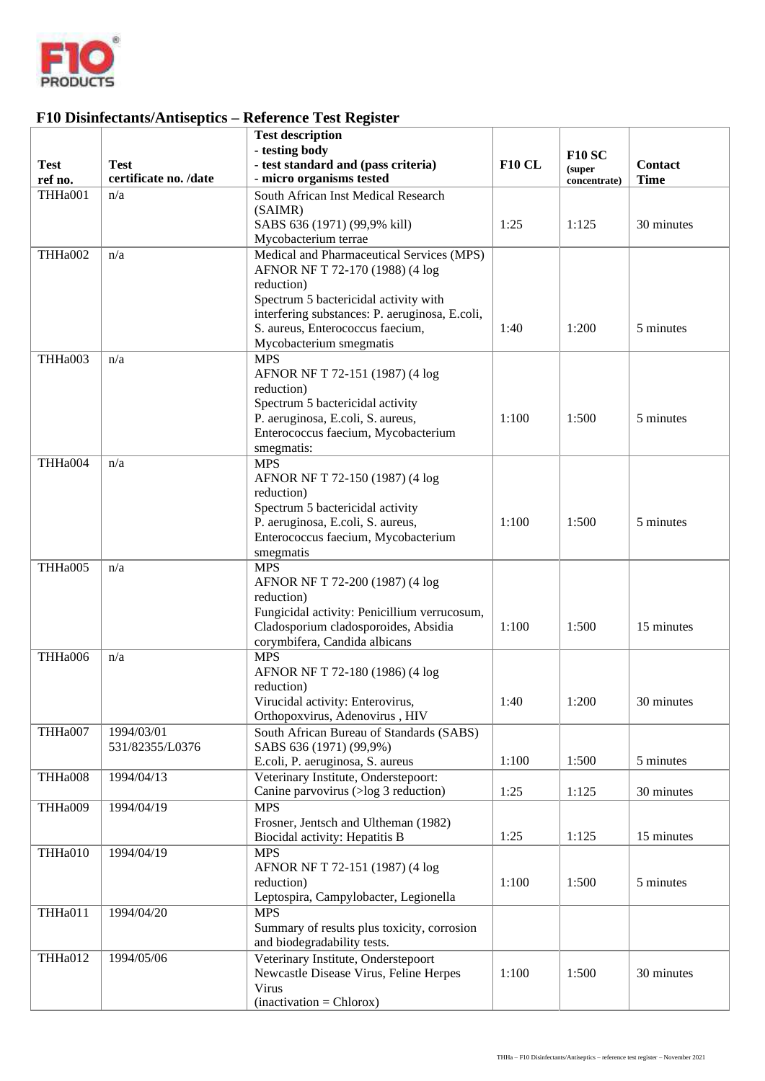

## **F10 Disinfectants/Antiseptics – Reference Test Register**

|             |                       | <b>Test description</b><br>- testing body                                               |               |                        |                |
|-------------|-----------------------|-----------------------------------------------------------------------------------------|---------------|------------------------|----------------|
| <b>Test</b> | <b>Test</b>           | - test standard and (pass criteria)                                                     | <b>F10 CL</b> | <b>F10 SC</b>          | <b>Contact</b> |
| ref no.     | certificate no. /date | - micro organisms tested                                                                |               | (super<br>concentrate) | <b>Time</b>    |
| THHa001     | n/a                   | South African Inst Medical Research                                                     |               |                        |                |
|             |                       | (SAIMR)                                                                                 |               |                        |                |
|             |                       | SABS 636 (1971) (99,9% kill)                                                            | 1:25          | 1:125                  | 30 minutes     |
|             |                       | Mycobacterium terrae                                                                    |               |                        |                |
| THHa002     | n/a                   | Medical and Pharmaceutical Services (MPS)                                               |               |                        |                |
|             |                       | AFNOR NF T 72-170 (1988) (4 log                                                         |               |                        |                |
|             |                       | reduction)                                                                              |               |                        |                |
|             |                       | Spectrum 5 bactericidal activity with<br>interfering substances: P. aeruginosa, E.coli, |               |                        |                |
|             |                       | S. aureus, Enterococcus faecium,                                                        | 1:40          | 1:200                  | 5 minutes      |
|             |                       | Mycobacterium smegmatis                                                                 |               |                        |                |
| THHa003     | n/a                   | <b>MPS</b>                                                                              |               |                        |                |
|             |                       | AFNOR NF T 72-151 (1987) (4 log                                                         |               |                        |                |
|             |                       | reduction)                                                                              |               |                        |                |
|             |                       | Spectrum 5 bactericidal activity                                                        |               |                        |                |
|             |                       | P. aeruginosa, E.coli, S. aureus,                                                       | 1:100         | 1:500                  | 5 minutes      |
|             |                       | Enterococcus faecium, Mycobacterium                                                     |               |                        |                |
|             |                       | smegmatis:<br><b>MPS</b>                                                                |               |                        |                |
| THHa004     | n/a                   | AFNOR NF T 72-150 (1987) (4 log                                                         |               |                        |                |
|             |                       | reduction)                                                                              |               |                        |                |
|             |                       | Spectrum 5 bactericidal activity                                                        |               |                        |                |
|             |                       | P. aeruginosa, E.coli, S. aureus,                                                       | 1:100         | 1:500                  | 5 minutes      |
|             |                       | Enterococcus faecium, Mycobacterium                                                     |               |                        |                |
|             |                       | smegmatis                                                                               |               |                        |                |
| THHa005     | n/a                   | <b>MPS</b>                                                                              |               |                        |                |
|             |                       | AFNOR NF T 72-200 (1987) (4 log                                                         |               |                        |                |
|             |                       | reduction)                                                                              |               |                        |                |
|             |                       | Fungicidal activity: Penicillium verrucosum,<br>Cladosporium cladosporoides, Absidia    | 1:100         | 1:500                  | 15 minutes     |
|             |                       | corymbifera, Candida albicans                                                           |               |                        |                |
| THHa006     | n/a                   | <b>MPS</b>                                                                              |               |                        |                |
|             |                       | AFNOR NF T 72-180 (1986) (4 log                                                         |               |                        |                |
|             |                       | reduction)                                                                              |               |                        |                |
|             |                       | Virucidal activity: Enterovirus,                                                        | 1:40          | 1:200                  | 30 minutes     |
|             |                       | Orthopoxvirus, Adenovirus, HIV                                                          |               |                        |                |
| THHa007     | 1994/03/01            | South African Bureau of Standards (SABS)                                                |               |                        |                |
|             | 531/82355/L0376       | SABS 636 (1971) (99,9%)                                                                 |               |                        |                |
|             |                       | E.coli, P. aeruginosa, S. aureus<br>Veterinary Institute, Onderstepoort:                | 1:100         | 1:500                  | 5 minutes      |
| THHa008     | 1994/04/13            | Canine parvovirus (>log 3 reduction)                                                    | 1:25          | 1:125                  | 30 minutes     |
| THHa009     | 1994/04/19            | <b>MPS</b>                                                                              |               |                        |                |
|             |                       | Frosner, Jentsch and Ultheman (1982)                                                    |               |                        |                |
|             |                       | Biocidal activity: Hepatitis B                                                          | 1:25          | 1:125                  | 15 minutes     |
| THHa010     | 1994/04/19            | <b>MPS</b>                                                                              |               |                        |                |
|             |                       | AFNOR NF T 72-151 (1987) (4 log                                                         |               |                        |                |
|             |                       | reduction)                                                                              | 1:100         | 1:500                  | 5 minutes      |
|             |                       | Leptospira, Campylobacter, Legionella                                                   |               |                        |                |
| THHa011     | 1994/04/20            | <b>MPS</b>                                                                              |               |                        |                |
|             |                       | Summary of results plus toxicity, corrosion<br>and biodegradability tests.              |               |                        |                |
| THHa012     | 1994/05/06            | Veterinary Institute, Onderstepoort                                                     |               |                        |                |
|             |                       | Newcastle Disease Virus, Feline Herpes                                                  | 1:100         | 1:500                  | 30 minutes     |
|             |                       | Virus                                                                                   |               |                        |                |
|             |                       | $(inactivation = Chlorox)$                                                              |               |                        |                |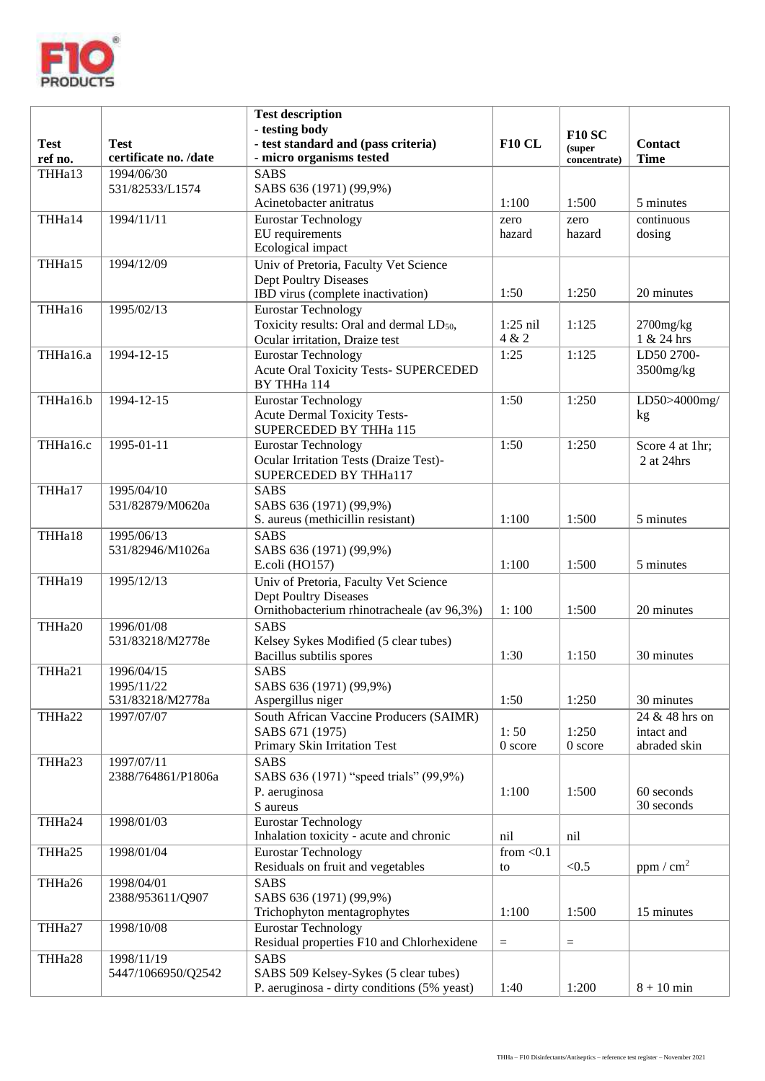

|                        |                                      | <b>Test description</b><br>- testing body                               |                    | <b>F10 SC</b>          |                               |
|------------------------|--------------------------------------|-------------------------------------------------------------------------|--------------------|------------------------|-------------------------------|
| <b>Test</b><br>ref no. | <b>Test</b><br>certificate no. /date | - test standard and (pass criteria)<br>- micro organisms tested         | <b>F10 CL</b>      | (super<br>concentrate) | <b>Contact</b><br><b>Time</b> |
| THHa13                 | 1994/06/30                           | $\overline{\text{SABS}}$                                                |                    |                        |                               |
|                        | 531/82533/L1574                      | SABS 636 (1971) (99,9%)<br>Acinetobacter anitratus                      | 1:100              | 1:500                  | 5 minutes                     |
| THHa14                 | 1994/11/11                           | <b>Eurostar Technology</b>                                              | zero               | zero                   | continuous                    |
|                        |                                      | EU requirements                                                         | hazard             | hazard                 | dosing                        |
|                        |                                      | Ecological impact                                                       |                    |                        |                               |
| THHa15                 | 1994/12/09                           | Univ of Pretoria, Faculty Vet Science                                   |                    |                        |                               |
|                        |                                      | <b>Dept Poultry Diseases</b><br>IBD virus (complete inactivation)       | 1:50               | 1:250                  | 20 minutes                    |
| THHa16                 | 1995/02/13                           | <b>Eurostar Technology</b>                                              |                    |                        |                               |
|                        |                                      | Toxicity results: Oral and dermal LD <sub>50</sub> ,                    | $1:25$ nil         | 1:125                  | $2700$ mg/ $kg$               |
|                        |                                      | Ocular irritation, Draize test                                          | 4 & 2              |                        | 1 & 24 hrs                    |
| THHa16.a               | 1994-12-15                           | <b>Eurostar Technology</b>                                              | 1:25               | 1:125                  | LD50 2700-                    |
|                        |                                      | Acute Oral Toxicity Tests- SUPERCEDED<br>BY THHa 114                    |                    |                        | 3500mg/kg                     |
| THHa16.b               | 1994-12-15                           | <b>Eurostar Technology</b>                                              | 1:50               | 1:250                  | LD50>4000mg/                  |
|                        |                                      | <b>Acute Dermal Toxicity Tests-</b>                                     |                    |                        | kg                            |
|                        |                                      | SUPERCEDED BY THHa 115                                                  |                    |                        |                               |
| THHa16.c               | 1995-01-11                           | <b>Eurostar Technology</b><br>Ocular Irritation Tests (Draize Test)-    | 1:50               | 1:250                  | Score 4 at 1hr;               |
|                        |                                      | SUPERCEDED BY THHa117                                                   |                    |                        | 2 at 24hrs                    |
| THHa17                 | 1995/04/10                           | <b>SABS</b>                                                             |                    |                        |                               |
|                        | 531/82879/M0620a                     | SABS 636 (1971) (99,9%)                                                 |                    |                        |                               |
|                        |                                      | S. aureus (methicillin resistant)                                       | 1:100              | 1:500                  | 5 minutes                     |
| THHa18                 | 1995/06/13<br>531/82946/M1026a       | <b>SABS</b><br>SABS 636 (1971) (99,9%)                                  |                    |                        |                               |
|                        |                                      | E.coli (HO157)                                                          | 1:100              | 1:500                  | 5 minutes                     |
| THHa19                 | 1995/12/13                           | Univ of Pretoria, Faculty Vet Science                                   |                    |                        |                               |
|                        |                                      | <b>Dept Poultry Diseases</b>                                            |                    |                        |                               |
| THHa20                 | 1996/01/08                           | Ornithobacterium rhinotracheale (av 96,3%)<br><b>SABS</b>               | 1:100              | 1:500                  | 20 minutes                    |
|                        | 531/83218/M2778e                     | Kelsey Sykes Modified (5 clear tubes)                                   |                    |                        |                               |
|                        |                                      | Bacillus subtilis spores                                                | 1:30               | 1:150                  | 30 minutes                    |
| THHa21                 | 1996/04/15                           | <b>SABS</b>                                                             |                    |                        |                               |
|                        | 1995/11/22<br>531/83218/M2778a       | SABS 636 (1971) (99,9%)<br>Aspergillus niger                            | 1:50               | 1:250                  | 30 minutes                    |
| THHa22                 | 1997/07/07                           | South African Vaccine Producers (SAIMR)                                 |                    |                        | 24 & 48 hrs on                |
|                        |                                      | SABS 671 (1975)                                                         | 1:50               | 1:250                  | intact and                    |
|                        |                                      | Primary Skin Irritation Test                                            | 0 score            | 0 score                | abraded skin                  |
| THHa23                 | 1997/07/11                           | <b>SABS</b>                                                             |                    |                        |                               |
|                        | 2388/764861/P1806a                   | SABS 636 (1971) "speed trials" (99,9%)<br>P. aeruginosa                 | 1:100              | 1:500                  | 60 seconds                    |
|                        |                                      | S aureus                                                                |                    |                        | 30 seconds                    |
| THHa24                 | 1998/01/03                           | <b>Eurostar Technology</b>                                              |                    |                        |                               |
|                        |                                      | Inhalation toxicity - acute and chronic                                 | nil                | nil                    |                               |
| THHa25                 | 1998/01/04                           | <b>Eurostar Technology</b><br>Residuals on fruit and vegetables         | from $<$ 0.1<br>to | < 0.5                  | ppm / cm <sup>2</sup>         |
| THHa26                 | 1998/04/01                           | <b>SABS</b>                                                             |                    |                        |                               |
|                        | 2388/953611/Q907                     | SABS 636 (1971) (99,9%)                                                 |                    |                        |                               |
|                        |                                      | Trichophyton mentagrophytes                                             | 1:100              | 1:500                  | 15 minutes                    |
| THHa27                 | 1998/10/08                           | <b>Eurostar Technology</b><br>Residual properties F10 and Chlorhexidene |                    |                        |                               |
| THHa28                 | 1998/11/19                           | <b>SABS</b>                                                             | $\equiv$           | $\equiv$               |                               |
|                        | 5447/1066950/Q2542                   | SABS 509 Kelsey-Sykes (5 clear tubes)                                   |                    |                        |                               |
|                        |                                      | P. aeruginosa - dirty conditions (5% yeast)                             | 1:40               | 1:200                  | $8 + 10$ min                  |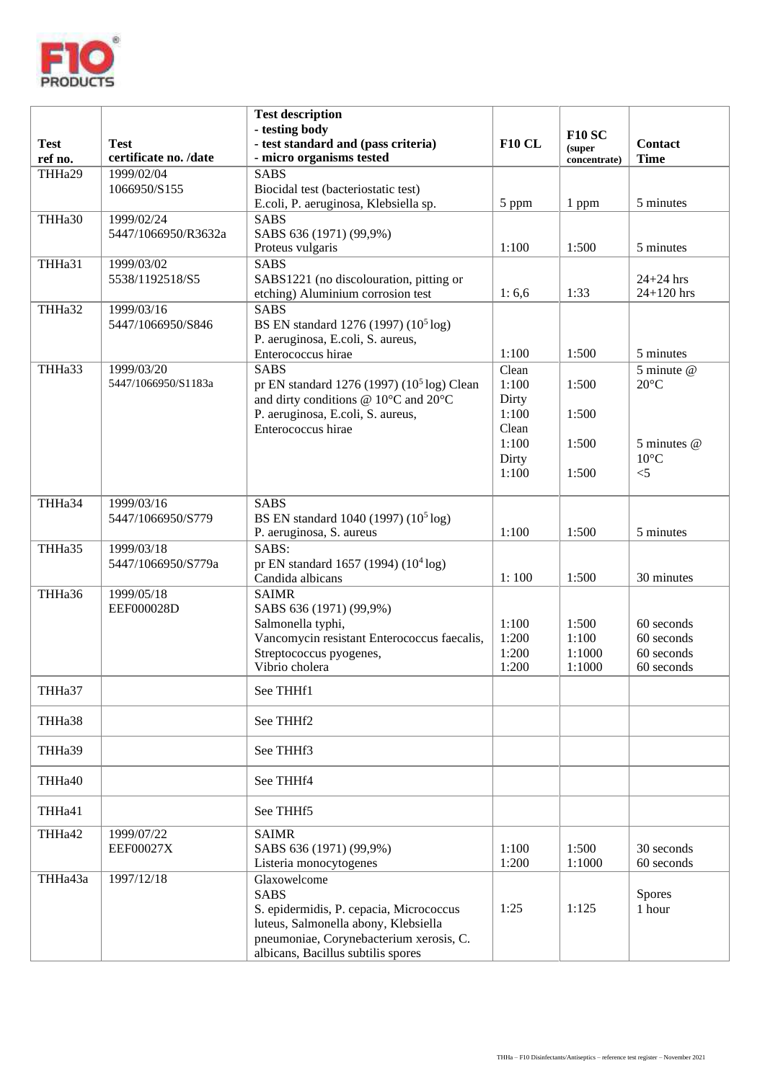

| <b>Test</b><br>ref no. | <b>Test</b><br>certificate no. /date | <b>Test description</b><br>- testing body<br>- test standard and (pass criteria)<br>- micro organisms tested                                                                                    | <b>F10 CL</b>                             | <b>F10 SC</b><br>(super<br>concentrate) | <b>Contact</b><br><b>Time</b>                        |
|------------------------|--------------------------------------|-------------------------------------------------------------------------------------------------------------------------------------------------------------------------------------------------|-------------------------------------------|-----------------------------------------|------------------------------------------------------|
| THHa29                 | 1999/02/04<br>1066950/S155           | <b>SABS</b><br>Biocidal test (bacteriostatic test)<br>E.coli, P. aeruginosa, Klebsiella sp.                                                                                                     | 5 ppm                                     | 1 ppm                                   | 5 minutes                                            |
| THHa30                 | 1999/02/24<br>5447/1066950/R3632a    | <b>SABS</b><br>SABS 636 (1971) (99,9%)<br>Proteus vulgaris                                                                                                                                      | 1:100                                     | 1:500                                   | 5 minutes                                            |
| THHa31                 | 1999/03/02<br>5538/1192518/S5        | <b>SABS</b><br>SABS1221 (no discolouration, pitting or<br>etching) Aluminium corrosion test                                                                                                     | 1:6,6                                     | 1:33                                    | $24+24$ hrs<br>$24 + 120$ hrs                        |
| THHa32                 | 1999/03/16<br>5447/1066950/S846      | <b>SABS</b><br>BS EN standard 1276 (1997) (10 <sup>5</sup> log)<br>P. aeruginosa, E.coli, S. aureus,<br>Enterococcus hirae                                                                      | 1:100                                     | 1:500                                   | 5 minutes                                            |
| THHa33                 | 1999/03/20<br>5447/1066950/S1183a    | <b>SABS</b><br>pr EN standard 1276 (1997) (10 <sup>5</sup> log) Clean<br>and dirty conditions @ 10°C and 20°C<br>P. aeruginosa, E.coli, S. aureus,<br>Enterococcus hirae                        | Clean<br>1:100<br>Dirty<br>1:100<br>Clean | 1:500<br>1:500                          | 5 minute @<br>$20^{\circ}$ C                         |
|                        |                                      |                                                                                                                                                                                                 | 1:100<br>Dirty<br>1:100                   | 1:500<br>1:500                          | 5 minutes @<br>$10^{\circ}$ C<br>$<$ 5               |
| THHa34                 | 1999/03/16<br>5447/1066950/S779      | <b>SABS</b><br>BS EN standard 1040 (1997) (10 <sup>5</sup> log)<br>P. aeruginosa, S. aureus                                                                                                     | 1:100                                     | 1:500                                   | 5 minutes                                            |
| THHa35                 | 1999/03/18<br>5447/1066950/S779a     | SABS:<br>pr EN standard 1657 (1994) (10 <sup>4</sup> log)<br>Candida albicans                                                                                                                   | 1:100                                     | 1:500                                   | 30 minutes                                           |
| THHa36                 | 1999/05/18<br>EEF000028D             | <b>SAIMR</b><br>SABS 636 (1971) (99,9%)<br>Salmonella typhi,<br>Vancomycin resistant Enterococcus faecalis,<br>Streptococcus pyogenes,<br>Vibrio cholera                                        | 1:100<br>1:200<br>1:200<br>1:200          | 1:500<br>1:100<br>1:1000<br>1:1000      | 60 seconds<br>60 seconds<br>60 seconds<br>60 seconds |
| THHa37                 |                                      | See THHf1                                                                                                                                                                                       |                                           |                                         |                                                      |
| THHa38                 |                                      | See THHf2                                                                                                                                                                                       |                                           |                                         |                                                      |
| THHa39                 |                                      | See THHf3                                                                                                                                                                                       |                                           |                                         |                                                      |
| THHa40                 |                                      | See THHf4                                                                                                                                                                                       |                                           |                                         |                                                      |
| THHa41                 |                                      | See THHf5                                                                                                                                                                                       |                                           |                                         |                                                      |
| THHa42                 | 1999/07/22<br><b>EEF00027X</b>       | <b>SAIMR</b><br>SABS 636 (1971) (99,9%)<br>Listeria monocytogenes                                                                                                                               | 1:100<br>1:200                            | 1:500<br>1:1000                         | 30 seconds<br>60 seconds                             |
| THHa43a                | 1997/12/18                           | Glaxowelcome<br><b>SABS</b><br>S. epidermidis, P. cepacia, Micrococcus<br>luteus, Salmonella abony, Klebsiella<br>pneumoniae, Corynebacterium xerosis, C.<br>albicans, Bacillus subtilis spores | 1:25                                      | 1:125                                   | <b>Spores</b><br>1 hour                              |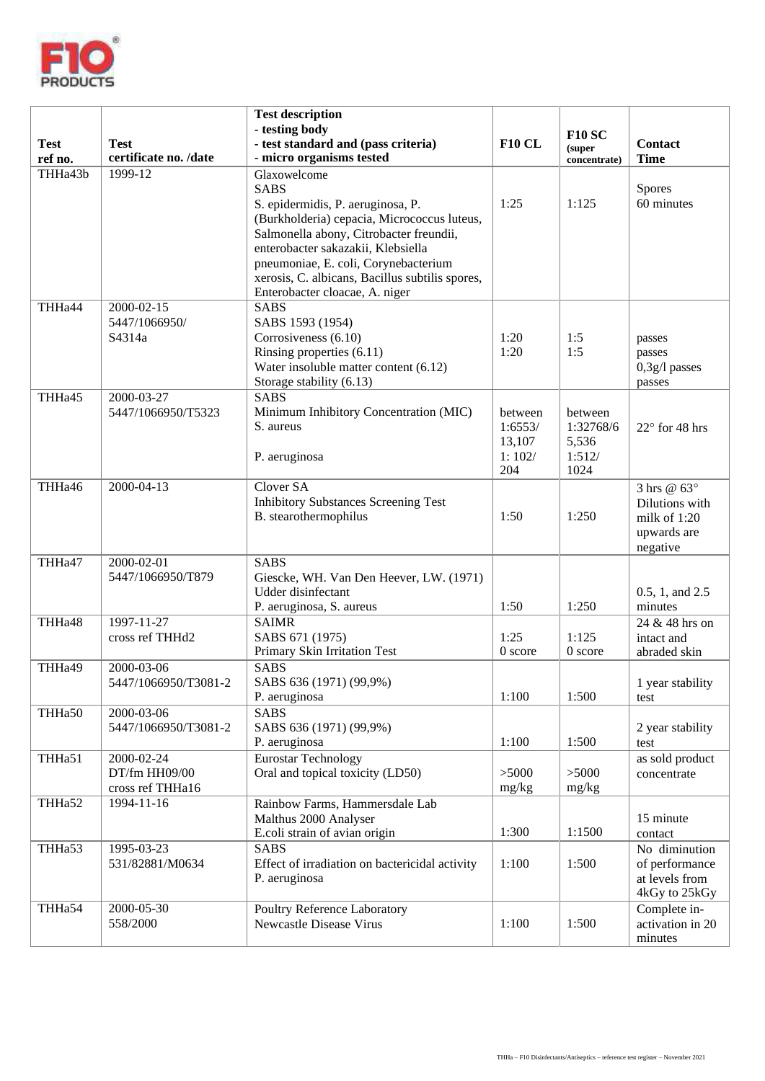

| <b>Test</b><br>ref no. | <b>Test</b><br>certificate no. /date            | <b>Test description</b><br>- testing body<br>- test standard and (pass criteria)<br>- micro organisms tested                                                                                                                                                                                                                  | <b>F10 CL</b>                                 | <b>F10 SC</b><br>(super<br>concentrate)         | <b>Contact</b><br><b>Time</b>                                            |
|------------------------|-------------------------------------------------|-------------------------------------------------------------------------------------------------------------------------------------------------------------------------------------------------------------------------------------------------------------------------------------------------------------------------------|-----------------------------------------------|-------------------------------------------------|--------------------------------------------------------------------------|
| THHa43b                | 1999-12                                         | Glaxowelcome<br><b>SABS</b><br>S. epidermidis, P. aeruginosa, P.<br>(Burkholderia) cepacia, Micrococcus luteus,<br>Salmonella abony, Citrobacter freundii,<br>enterobacter sakazakii, Klebsiella<br>pneumoniae, E. coli, Corynebacterium<br>xerosis, C. albicans, Bacillus subtilis spores,<br>Enterobacter cloacae, A. niger | 1:25                                          | 1:125                                           | Spores<br>60 minutes                                                     |
| THHa44                 | 2000-02-15<br>5447/1066950/<br>S4314a           | <b>SABS</b><br>SABS 1593 (1954)<br>Corrosiveness (6.10)<br>Rinsing properties (6.11)<br>Water insoluble matter content (6.12)<br>Storage stability (6.13)                                                                                                                                                                     | 1:20<br>1:20                                  | 1:5<br>1:5                                      | passes<br>passes<br>$0,3g/1$ passes<br>passes                            |
| THHa45                 | 2000-03-27<br>5447/1066950/T5323                | <b>SABS</b><br>Minimum Inhibitory Concentration (MIC)<br>S. aureus<br>P. aeruginosa                                                                                                                                                                                                                                           | between<br>1:6553/<br>13,107<br>1:102/<br>204 | between<br>1:32768/6<br>5,536<br>1:512/<br>1024 | $22^{\circ}$ for 48 hrs                                                  |
| THHa46                 | 2000-04-13                                      | Clover SA<br><b>Inhibitory Substances Screening Test</b><br>B. stearothermophilus                                                                                                                                                                                                                                             | 1:50                                          | 1:250                                           | 3 hrs @ 63°<br>Dilutions with<br>milk of 1:20<br>upwards are<br>negative |
| THHa47                 | 2000-02-01<br>5447/1066950/T879                 | <b>SABS</b><br>Giescke, WH. Van Den Heever, LW. (1971)<br>Udder disinfectant<br>P. aeruginosa, S. aureus                                                                                                                                                                                                                      | 1:50                                          | 1:250                                           | 0.5, 1, and 2.5<br>minutes                                               |
| THHa48                 | 1997-11-27<br>cross ref THHd2                   | <b>SAIMR</b><br>SABS 671 (1975)<br>Primary Skin Irritation Test                                                                                                                                                                                                                                                               | 1:25<br>0 score                               | 1:125<br>$0$ score                              | 24 & 48 hrs on<br>intact and<br>abraded skin                             |
| THHa49                 | 2000-03-06<br>5447/1066950/T3081-2              | <b>SABS</b><br>SABS 636 (1971) (99,9%)<br>P. aeruginosa                                                                                                                                                                                                                                                                       | 1:100                                         | 1:500                                           | 1 year stability<br>test                                                 |
| THHa50                 | 2000-03-06<br>5447/1066950/T3081-2              | $SAB\overline{S}$<br>SABS 636 (1971) (99,9%)<br>P. aeruginosa                                                                                                                                                                                                                                                                 | 1:100                                         | 1:500                                           | 2 year stability<br>test                                                 |
| THHa51                 | 2000-02-24<br>DT/fm HH09/00<br>cross ref THHa16 | <b>Eurostar Technology</b><br>Oral and topical toxicity (LD50)                                                                                                                                                                                                                                                                | >5000<br>mg/kg                                | >5000<br>mg/kg                                  | as sold product<br>concentrate                                           |
| THHa52                 | 1994-11-16                                      | Rainbow Farms, Hammersdale Lab<br>Malthus 2000 Analyser<br>E.coli strain of avian origin                                                                                                                                                                                                                                      | 1:300                                         | 1:1500                                          | 15 minute<br>contact                                                     |
| THHa53                 | 1995-03-23<br>531/82881/M0634                   | <b>SABS</b><br>Effect of irradiation on bactericidal activity<br>P. aeruginosa                                                                                                                                                                                                                                                | 1:100                                         | 1:500                                           | No diminution<br>of performance<br>at levels from<br>4kGy to 25kGy       |
| THHa54                 | 2000-05-30<br>558/2000                          | Poultry Reference Laboratory<br>Newcastle Disease Virus                                                                                                                                                                                                                                                                       | 1:100                                         | 1:500                                           | Complete in-<br>activation in 20<br>minutes                              |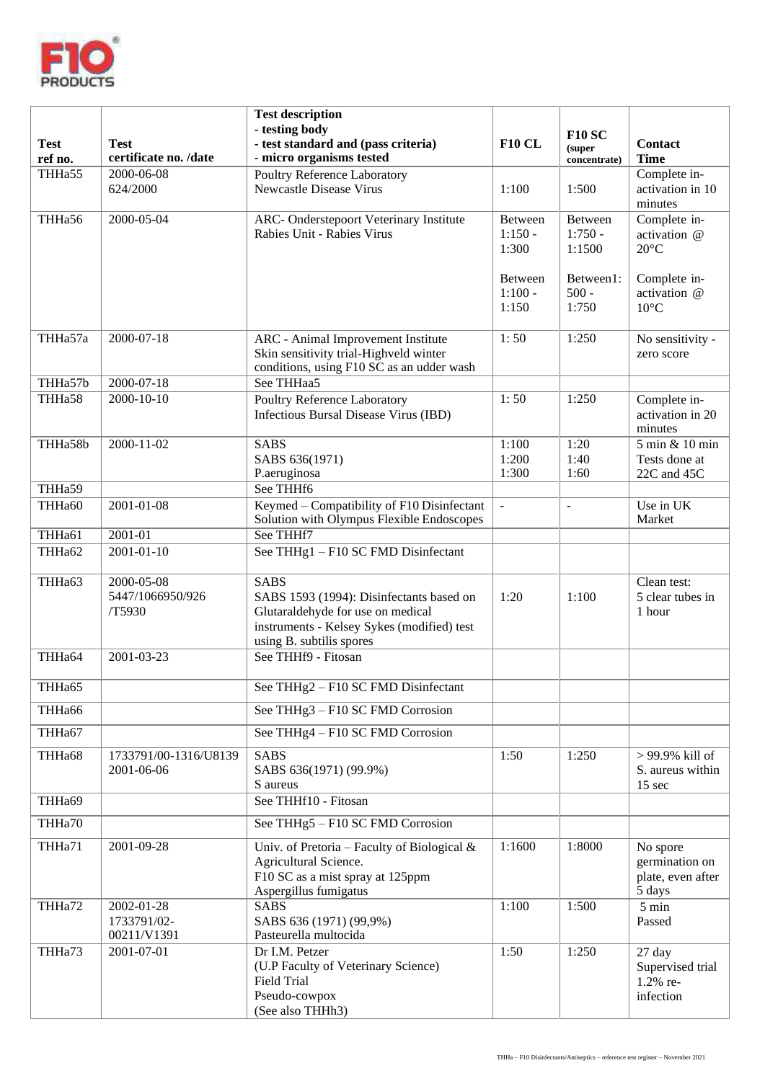

| <b>Test</b><br>ref no. | <b>Test</b><br>certificate no. /date     | <b>Test description</b><br>- testing body<br>- test standard and (pass criteria)<br>- micro organisms tested                                                           | <b>F10 CL</b>                 | <b>F10 SC</b><br>(super<br>concentrate) | <b>Contact</b><br><b>Time</b>                             |
|------------------------|------------------------------------------|------------------------------------------------------------------------------------------------------------------------------------------------------------------------|-------------------------------|-----------------------------------------|-----------------------------------------------------------|
| THHa55                 | 2000-06-08<br>624/2000                   | Poultry Reference Laboratory<br><b>Newcastle Disease Virus</b>                                                                                                         | 1:100                         | 1:500                                   | Complete in-<br>activation in 10<br>minutes               |
| THHa56                 | 2000-05-04                               | ARC- Onderstepoort Veterinary Institute<br>Rabies Unit - Rabies Virus                                                                                                  | Between<br>$1:150 -$<br>1:300 | Between<br>$1:750 -$<br>1:1500          | Complete in-<br>activation @<br>$20^{\circ}$ C            |
|                        |                                          |                                                                                                                                                                        | Between<br>$1:100 -$<br>1:150 | Between1:<br>$500 -$<br>1:750           | Complete in-<br>activation @<br>$10^{\circ}$ C            |
| THHa57a                | 2000-07-18                               | ARC - Animal Improvement Institute<br>Skin sensitivity trial-Highveld winter<br>conditions, using F10 SC as an udder wash                                              | 1:50                          | 1:250                                   | No sensitivity -<br>zero score                            |
| THHa57b                | $2000 - 07 - 18$                         | See THHaa5                                                                                                                                                             |                               |                                         |                                                           |
| THHa58                 | 2000-10-10                               | Poultry Reference Laboratory<br>Infectious Bursal Disease Virus (IBD)                                                                                                  | 1:50                          | 1:250                                   | Complete in-<br>activation in 20<br>minutes               |
| THHa58b                | $2000 - 11 - 02$                         | <b>SABS</b><br>SABS 636(1971)<br>P.aeruginosa                                                                                                                          | 1:100<br>1:200<br>1:300       | 1:20<br>1:40<br>1:60                    | 5 min & 10 min<br>Tests done at<br>22C and 45C            |
| THHa59                 |                                          | See THHf6                                                                                                                                                              |                               |                                         |                                                           |
| THHa60                 | 2001-01-08                               | Keymed - Compatibility of F10 Disinfectant<br>Solution with Olympus Flexible Endoscopes                                                                                | $\overline{a}$                |                                         | Use in UK<br>Market                                       |
| THHa61                 | $2001 - 01$                              | See THHf7                                                                                                                                                              |                               |                                         |                                                           |
| THHa62                 | 2001-01-10                               | See THHg1 - F10 SC FMD Disinfectant                                                                                                                                    |                               |                                         |                                                           |
| THHa63                 | 2000-05-08<br>5447/1066950/926<br>/T5930 | <b>SABS</b><br>SABS 1593 (1994): Disinfectants based on<br>Glutaraldehyde for use on medical<br>instruments - Kelsey Sykes (modified) test<br>using B. subtilis spores | 1:20                          | 1:100                                   | Clean test:<br>5 clear tubes in<br>1 hour                 |
| THHa64                 | $2001 - 03 - 23$                         | See THHf9 - Fitosan                                                                                                                                                    |                               |                                         |                                                           |
| THHa65                 |                                          | See THHg2 - F10 SC FMD Disinfectant                                                                                                                                    |                               |                                         |                                                           |
| THHa66                 |                                          | See THHg3 - F10 SC FMD Corrosion                                                                                                                                       |                               |                                         |                                                           |
| THHa67                 |                                          | See THHg4 - F10 SC FMD Corrosion                                                                                                                                       |                               |                                         |                                                           |
| THHa68                 | 1733791/00-1316/U8139<br>2001-06-06      | <b>SABS</b><br>SABS 636(1971) (99.9%)<br>S aureus                                                                                                                      | 1:50                          | 1:250                                   | > 99.9% kill of<br>S. aureus within<br>$15 \text{ sec}$   |
| THHa69                 |                                          | See THHf10 - Fitosan                                                                                                                                                   |                               |                                         |                                                           |
| THHa70                 |                                          | See THHg5 - F10 SC FMD Corrosion                                                                                                                                       |                               |                                         |                                                           |
| THHa71                 | 2001-09-28                               | Univ. of Pretoria – Faculty of Biological $\&$<br>Agricultural Science.<br>F10 SC as a mist spray at 125ppm<br>Aspergillus fumigatus                                   | 1:1600                        | 1:8000                                  | No spore<br>germination on<br>plate, even after<br>5 days |
| THHa72                 | 2002-01-28<br>1733791/02-<br>00211/V1391 | <b>SABS</b><br>SABS 636 (1971) (99,9%)<br>Pasteurella multocida                                                                                                        | 1:100                         | 1:500                                   | $5 \text{ min}$<br>Passed                                 |
| THHa73                 | 2001-07-01                               | Dr I.M. Petzer<br>(U.P Faculty of Veterinary Science)<br><b>Field Trial</b><br>Pseudo-cowpox<br>(See also THHh3)                                                       | 1:50                          | 1:250                                   | 27 day<br>Supervised trial<br>1.2% re-<br>infection       |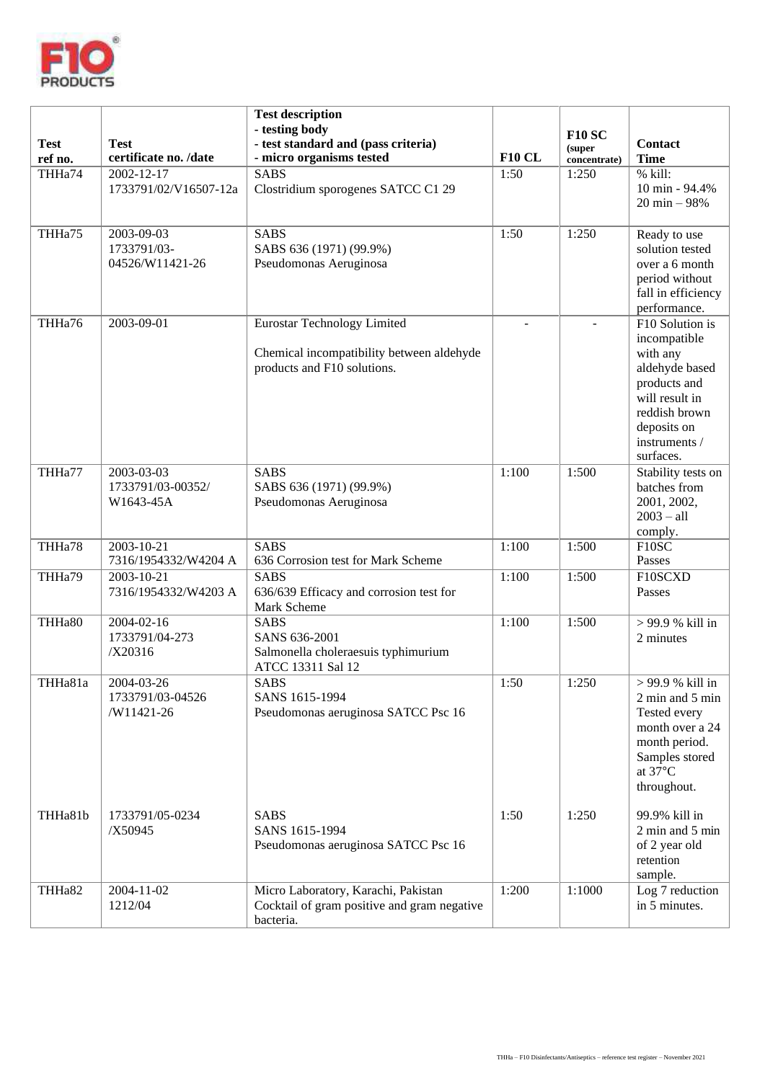

| <b>Test</b><br>ref no. | <b>Test</b><br>certificate no. /date         | <b>Test description</b><br>- testing body<br>- test standard and (pass criteria)<br>- micro organisms tested | <b>F10 CL</b> | <b>F10 SC</b><br>(super | <b>Contact</b><br><b>Time</b>                                                                                                                                 |
|------------------------|----------------------------------------------|--------------------------------------------------------------------------------------------------------------|---------------|-------------------------|---------------------------------------------------------------------------------------------------------------------------------------------------------------|
| THHa74                 | $2002 - 12 - 17$                             | <b>SABS</b>                                                                                                  | 1:50          | concentrate)<br>1:250   | % kill:                                                                                                                                                       |
|                        | 1733791/02/V16507-12a                        | Clostridium sporogenes SATCC C1 29                                                                           |               |                         | 10 min - 94.4%<br>$20 \text{ min} - 98\%$                                                                                                                     |
| THHa75                 | 2003-09-03<br>1733791/03-<br>04526/W11421-26 | <b>SABS</b><br>SABS 636 (1971) (99.9%)<br>Pseudomonas Aeruginosa                                             | 1:50          | 1:250                   | Ready to use<br>solution tested<br>over a 6 month<br>period without<br>fall in efficiency<br>performance.                                                     |
| THHa76                 | 2003-09-01                                   | Eurostar Technology Limited<br>Chemical incompatibility between aldehyde<br>products and F10 solutions.      | ÷,            |                         | F10 Solution is<br>incompatible<br>with any<br>aldehyde based<br>products and<br>will result in<br>reddish brown<br>deposits on<br>instruments /<br>surfaces. |
| THHa77                 | 2003-03-03<br>1733791/03-00352/<br>W1643-45A | <b>SABS</b><br>SABS 636 (1971) (99.9%)<br>Pseudomonas Aeruginosa                                             | 1:100         | 1:500                   | Stability tests on<br>batches from<br>2001, 2002,<br>$2003 - a11$<br>comply.                                                                                  |
| THHa78                 | 2003-10-21<br>7316/1954332/W4204 A           | <b>SABS</b><br>636 Corrosion test for Mark Scheme                                                            | 1:100         | 1:500                   | F10SC<br>Passes                                                                                                                                               |
| THHa79                 | 2003-10-21<br>7316/1954332/W4203 A           | <b>SABS</b><br>636/639 Efficacy and corrosion test for<br>Mark Scheme                                        | 1:100         | 1:500                   | F10SCXD<br>Passes                                                                                                                                             |
| THHa80                 | 2004-02-16<br>1733791/04-273<br>/X20316      | <b>SABS</b><br>SANS 636-2001<br>Salmonella choleraesuis typhimurium<br>ATCC 13311 Sal 12                     | 1:100         | 1:500                   | > 99.9 % kill in<br>2 minutes                                                                                                                                 |
| THHa81a                | 2004-03-26<br>1733791/03-04526<br>/W11421-26 | <b>SABS</b><br>SANS 1615-1994<br>Pseudomonas aeruginosa SATCC Psc 16                                         | 1:50          | 1:250                   | > 99.9 % kill in<br>2 min and 5 min<br>Tested every<br>month over a 24<br>month period.<br>Samples stored<br>at 37°C<br>throughout.                           |
| THHa81b                | 1733791/05-0234<br>/X50945                   | <b>SABS</b><br>SANS 1615-1994<br>Pseudomonas aeruginosa SATCC Psc 16                                         | 1:50          | 1:250                   | 99.9% kill in<br>2 min and 5 min<br>of 2 year old<br>retention<br>sample.                                                                                     |
| THHa82                 | 2004-11-02<br>1212/04                        | Micro Laboratory, Karachi, Pakistan<br>Cocktail of gram positive and gram negative<br>bacteria.              | 1:200         | 1:1000                  | Log 7 reduction<br>in 5 minutes.                                                                                                                              |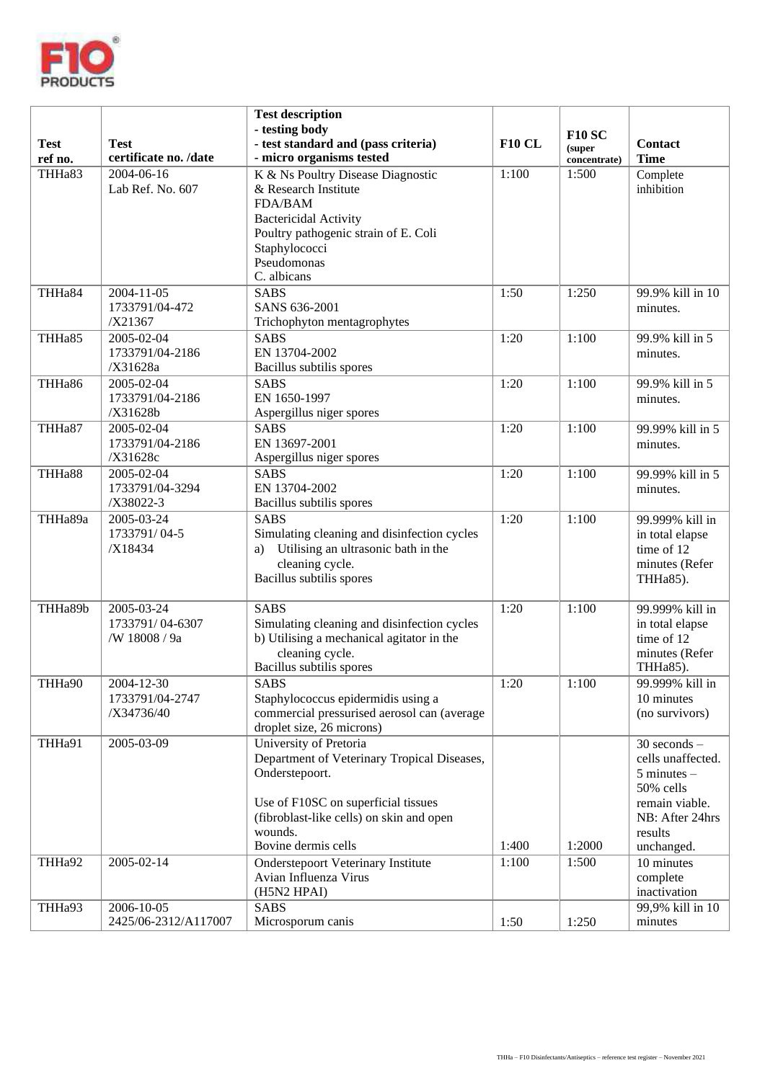

| <b>Test</b><br>ref no. | <b>Test</b><br>certificate no. /date           | <b>Test description</b><br>- testing body<br>- test standard and (pass criteria)<br>- micro organisms tested                                                                                                 | <b>F10 CL</b> | <b>F10 SC</b><br>(super<br>concentrate) | <b>Contact</b><br><b>Time</b>                                                                                                       |
|------------------------|------------------------------------------------|--------------------------------------------------------------------------------------------------------------------------------------------------------------------------------------------------------------|---------------|-----------------------------------------|-------------------------------------------------------------------------------------------------------------------------------------|
| THHa83                 | 2004-06-16<br>Lab Ref. No. 607                 | K & Ns Poultry Disease Diagnostic<br>& Research Institute<br><b>FDA/BAM</b><br><b>Bactericidal Activity</b><br>Poultry pathogenic strain of E. Coli<br>Staphylococci<br>Pseudomonas<br>C. albicans           | 1:100         | 1:500                                   | Complete<br>inhibition                                                                                                              |
| THHa84                 | 2004-11-05<br>1733791/04-472<br>/X21367        | <b>SABS</b><br>SANS 636-2001<br>Trichophyton mentagrophytes                                                                                                                                                  | 1:50          | 1:250                                   | 99.9% kill in 10<br>minutes.                                                                                                        |
| THHa85                 | 2005-02-04<br>1733791/04-2186<br>/X31628a      | SABS<br>EN 13704-2002<br>Bacillus subtilis spores                                                                                                                                                            | 1:20          | 1:100                                   | 99.9% kill in 5<br>minutes.                                                                                                         |
| THHa86                 | 2005-02-04<br>1733791/04-2186<br>/X31628b      | <b>SABS</b><br>EN 1650-1997<br>Aspergillus niger spores                                                                                                                                                      | 1:20          | 1:100                                   | 99.9% kill in 5<br>minutes.                                                                                                         |
| THHa87                 | 2005-02-04<br>1733791/04-2186<br>/X31628c      | <b>SABS</b><br>EN 13697-2001<br>Aspergillus niger spores                                                                                                                                                     | 1:20          | 1:100                                   | 99.99% kill in 5<br>minutes.                                                                                                        |
| THHa88                 | 2005-02-04<br>1733791/04-3294<br>/X38022-3     | SABS<br>EN 13704-2002<br>Bacillus subtilis spores                                                                                                                                                            | 1:20          | 1:100                                   | 99.99% kill in 5<br>minutes.                                                                                                        |
| THHa89a                | 2005-03-24<br>1733791/04-5<br>/X18434          | <b>SABS</b><br>Simulating cleaning and disinfection cycles<br>a) Utilising an ultrasonic bath in the<br>cleaning cycle.<br>Bacillus subtilis spores                                                          | 1:20          | 1:100                                   | 99.999% kill in<br>in total elapse<br>time of 12<br>minutes (Refer<br>THHa85).                                                      |
| THHa89b                | 2005-03-24<br>1733791/04-6307<br>/W 18008 / 9a | <b>SABS</b><br>Simulating cleaning and disinfection cycles<br>b) Utilising a mechanical agitator in the<br>cleaning cycle.<br>Bacillus subtilis spores                                                       | 1:20          | 1:100                                   | 99.999% kill in<br>in total elapse<br>time of 12<br>minutes (Refer<br>THHa85).                                                      |
| THHa90                 | 2004-12-30<br>1733791/04-2747<br>/X34736/40    | <b>SABS</b><br>Staphylococcus epidermidis using a<br>commercial pressurised aerosol can (average<br>droplet size, 26 microns)                                                                                | 1:20          | 1:100                                   | 99.999% kill in<br>10 minutes<br>(no survivors)                                                                                     |
| THHa91                 | 2005-03-09                                     | University of Pretoria<br>Department of Veterinary Tropical Diseases,<br>Onderstepoort.<br>Use of F10SC on superficial tissues<br>(fibroblast-like cells) on skin and open<br>wounds.<br>Bovine dermis cells | 1:400         | 1:2000                                  | $30$ seconds $-$<br>cells unaffected.<br>$5$ minutes $-$<br>50% cells<br>remain viable.<br>NB: After 24hrs<br>results<br>unchanged. |
| THHa92                 | 2005-02-14                                     | <b>Onderstepoort Veterinary Institute</b><br>Avian Influenza Virus<br>(H5N2 HPAI)                                                                                                                            | 1:100         | 1:500                                   | 10 minutes<br>complete<br>inactivation                                                                                              |
| THHa93                 | 2006-10-05<br>2425/06-2312/A117007             | <b>SABS</b><br>Microsporum canis                                                                                                                                                                             | 1:50          | 1:250                                   | 99,9% kill in 10<br>minutes                                                                                                         |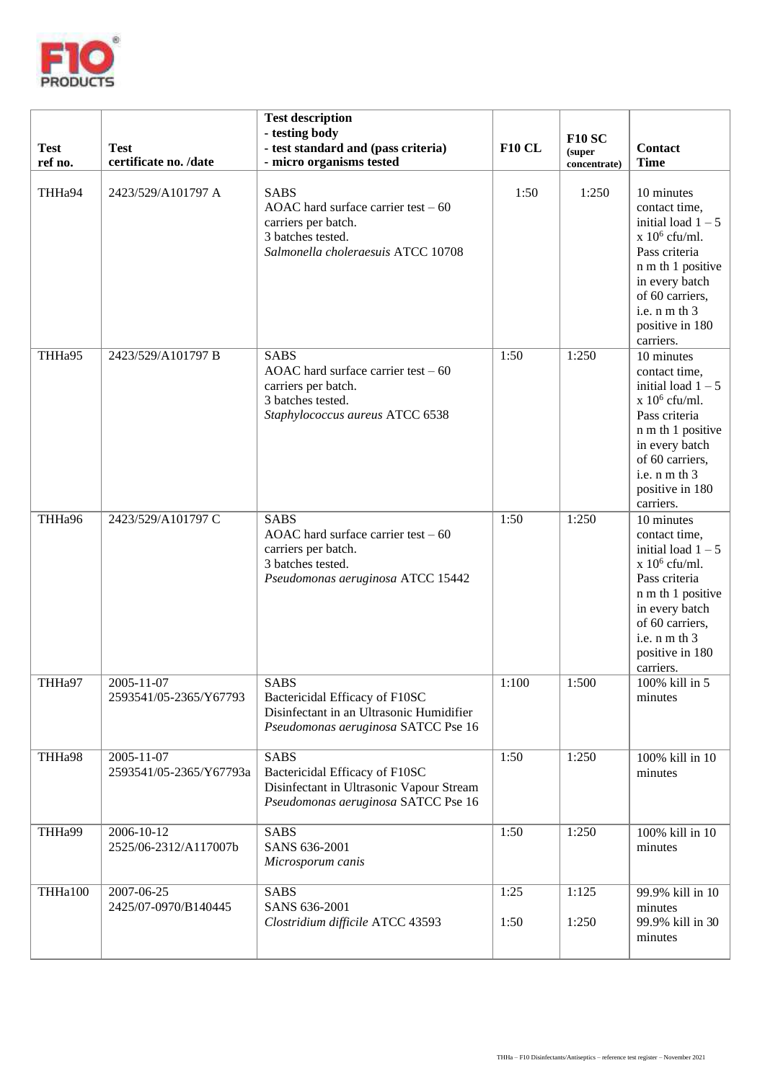

| <b>Test</b><br>ref no. | <b>Test</b><br>certificate no. /date  | <b>Test description</b><br>- testing body<br>- test standard and (pass criteria)<br>- micro organisms tested                          | <b>F10 CL</b> | <b>F10 SC</b><br>(super<br>concentrate) | <b>Contact</b><br><b>Time</b>                                                                                                                                                                       |
|------------------------|---------------------------------------|---------------------------------------------------------------------------------------------------------------------------------------|---------------|-----------------------------------------|-----------------------------------------------------------------------------------------------------------------------------------------------------------------------------------------------------|
| THHa94                 | 2423/529/A101797 A                    | <b>SABS</b><br>AOAC hard surface carrier test $-60$<br>carriers per batch.<br>3 batches tested.<br>Salmonella choleraesuis ATCC 10708 | 1:50          | 1:250                                   | 10 minutes<br>contact time,<br>initial load $1-5$<br>$x 10^6$ cfu/ml.<br>Pass criteria<br>n m th 1 positive<br>in every batch<br>of 60 carriers,<br>i.e. $n m th 3$<br>positive in 180<br>carriers. |
| THHa95                 | 2423/529/A101797 B                    | <b>SABS</b><br>AOAC hard surface carrier test $-60$<br>carriers per batch.<br>3 batches tested.<br>Staphylococcus aureus ATCC 6538    | 1:50          | 1:250                                   | 10 minutes<br>contact time,<br>initial load $1-5$<br>$x 10^6$ cfu/ml.<br>Pass criteria<br>n m th 1 positive<br>in every batch<br>of 60 carriers,<br>i.e. n m th 3<br>positive in 180<br>carriers.   |
| THHa96                 | 2423/529/A101797 C                    | <b>SABS</b><br>AOAC hard surface carrier test $-60$<br>carriers per batch.<br>3 batches tested.<br>Pseudomonas aeruginosa ATCC 15442  | 1:50          | 1:250                                   | 10 minutes<br>contact time,<br>initial load $1 - 5$<br>$x 10^6$ cfu/ml.<br>Pass criteria<br>n m th 1 positive<br>in every batch<br>of 60 carriers,<br>i.e. n m th 3<br>positive in 180<br>carriers. |
| THHa97                 | 2005-11-07<br>2593541/05-2365/Y67793  | <b>SABS</b><br>Bactericidal Efficacy of F10SC<br>Disinfectant in an Ultrasonic Humidifier<br>Pseudomonas aeruginosa SATCC Pse 16      | 1:100         | 1:500                                   | 100% kill in 5<br>minutes                                                                                                                                                                           |
| THHa98                 | 2005-11-07<br>2593541/05-2365/Y67793a | <b>SABS</b><br>Bactericidal Efficacy of F10SC<br>Disinfectant in Ultrasonic Vapour Stream<br>Pseudomonas aeruginosa SATCC Pse 16      | 1:50          | 1:250                                   | 100% kill in 10<br>minutes                                                                                                                                                                          |
| THHa99                 | 2006-10-12<br>2525/06-2312/A117007b   | <b>SABS</b><br>SANS 636-2001<br>Microsporum canis                                                                                     | 1:50          | 1:250                                   | 100% kill in 10<br>minutes                                                                                                                                                                          |
| THHa100                | 2007-06-25<br>2425/07-0970/B140445    | <b>SABS</b><br>SANS 636-2001<br>Clostridium difficile ATCC 43593                                                                      | 1:25<br>1:50  | 1:125<br>1:250                          | 99.9% kill in 10<br>minutes<br>99.9% kill in 30<br>minutes                                                                                                                                          |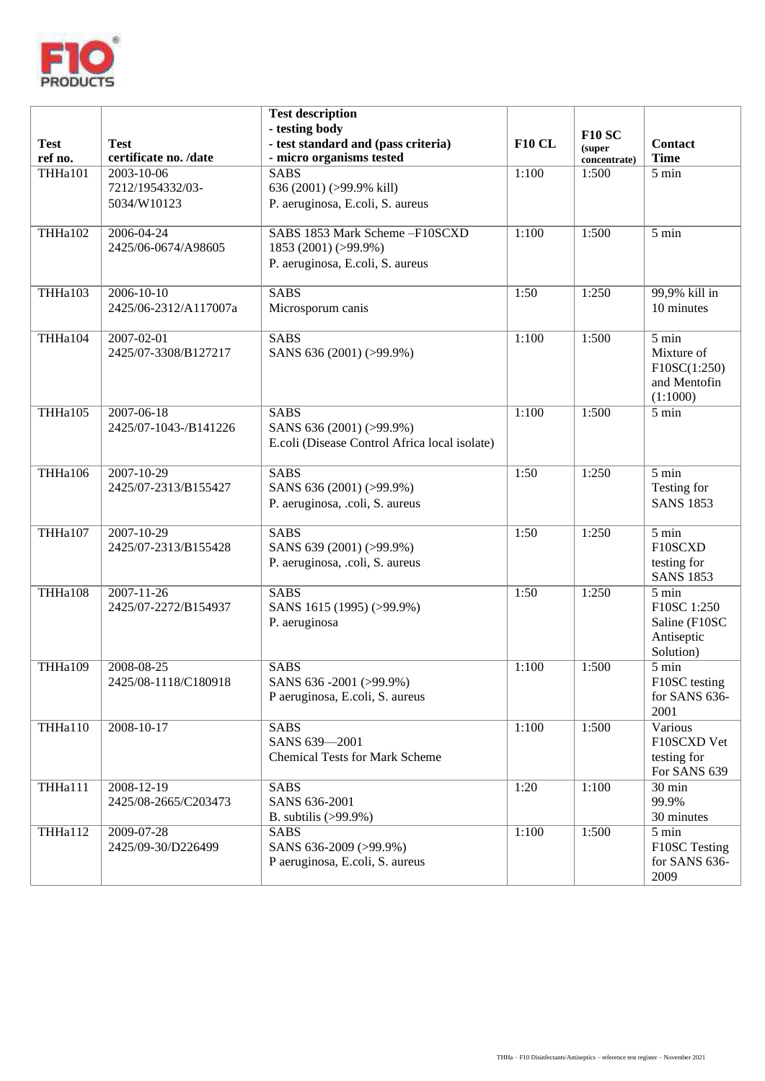

| <b>Test</b><br>ref no.              | <b>Test</b><br>certificate no. /date          | <b>Test description</b><br>- testing body<br>- test standard and (pass criteria)<br>- micro organisms tested | <b>F10 CL</b> | <b>F10 SC</b><br>(super | <b>Contact</b><br><b>Time</b>                                    |
|-------------------------------------|-----------------------------------------------|--------------------------------------------------------------------------------------------------------------|---------------|-------------------------|------------------------------------------------------------------|
| THHa101                             | 2003-10-06<br>7212/1954332/03-<br>5034/W10123 | <b>SABS</b><br>636 (2001) (>99.9% kill)<br>P. aeruginosa, E.coli, S. aureus                                  | 1:100         | concentrate)<br>1:500   | 5 min                                                            |
| THHa102                             | 2006-04-24<br>2425/06-0674/A98605             | SABS 1853 Mark Scheme-F10SCXD<br>1853 (2001) (>99.9%)<br>P. aeruginosa, E.coli, S. aureus                    | 1:100         | 1:500                   | 5 min                                                            |
| THHa103                             | $2006 - 10 - 10$<br>2425/06-2312/A117007a     | <b>SABS</b><br>Microsporum canis                                                                             | 1:50          | 1:250                   | 99,9% kill in<br>10 minutes                                      |
| THHa104                             | 2007-02-01<br>2425/07-3308/B127217            | <b>SABS</b><br>SANS 636 (2001) (>99.9%)                                                                      | 1:100         | 1:500                   | 5 min<br>Mixture of<br>F10SC(1:250)<br>and Mentofin<br>(1:1000)  |
| THHa105                             | 2007-06-18<br>2425/07-1043-/B141226           | <b>SABS</b><br>SANS 636 (2001) (>99.9%)<br>E.coli (Disease Control Africa local isolate)                     | 1:100         | 1:500                   | 5 min                                                            |
| THHa106                             | $2007 - 10 - 29$<br>2425/07-2313/B155427      | <b>SABS</b><br>SANS 636 (2001) (>99.9%)<br>P. aeruginosa, .coli, S. aureus                                   | 1:50          | 1:250                   | 5 min<br>Testing for<br><b>SANS 1853</b>                         |
| THHa107                             | 2007-10-29<br>2425/07-2313/B155428            | <b>SABS</b><br>SANS 639 (2001) (>99.9%)<br>P. aeruginosa, .coli, S. aureus                                   | 1:50          | 1:250                   | $5 \text{ min}$<br>F10SCXD<br>testing for<br><b>SANS 1853</b>    |
| THHa108                             | $2007 - 11 - 26$<br>2425/07-2272/B154937      | <b>SABS</b><br>SANS 1615 (1995) (>99.9%)<br>P. aeruginosa                                                    | 1:50          | 1:250                   | 5 min<br>F10SC 1:250<br>Saline (F10SC<br>Antiseptic<br>Solution) |
| THHa109                             | 2008-08-25<br>2425/08-1118/C180918            | <b>SABS</b><br>SANS 636-2001 (>99.9%)<br>P aeruginosa, E.coli, S. aureus                                     | 1:100         | 1:500                   | 5 min<br>F10SC testing<br>for SANS 636-<br>2001                  |
| THHa110                             | 2008-10-17                                    | <b>SABS</b><br>SANS 639-2001<br><b>Chemical Tests for Mark Scheme</b>                                        | 1:100         | 1:500                   | Various<br>F10SCXD Vet<br>testing for<br>For SANS 639            |
| $\overline{\text{THH} \text{a}111}$ | 2008-12-19<br>2425/08-2665/C203473            | <b>SABS</b><br>SANS 636-2001<br>B. subtilis $(>99.9\%)$                                                      | 1:20          | 1:100                   | $30 \text{ min}$<br>99.9%<br>30 minutes                          |
| THHa112                             | 2009-07-28<br>2425/09-30/D226499              | <b>SABS</b><br>SANS 636-2009 (>99.9%)<br>P aeruginosa, E.coli, S. aureus                                     | 1:100         | 1:500                   | 5 min<br>F10SC Testing<br>for SANS 636-<br>2009                  |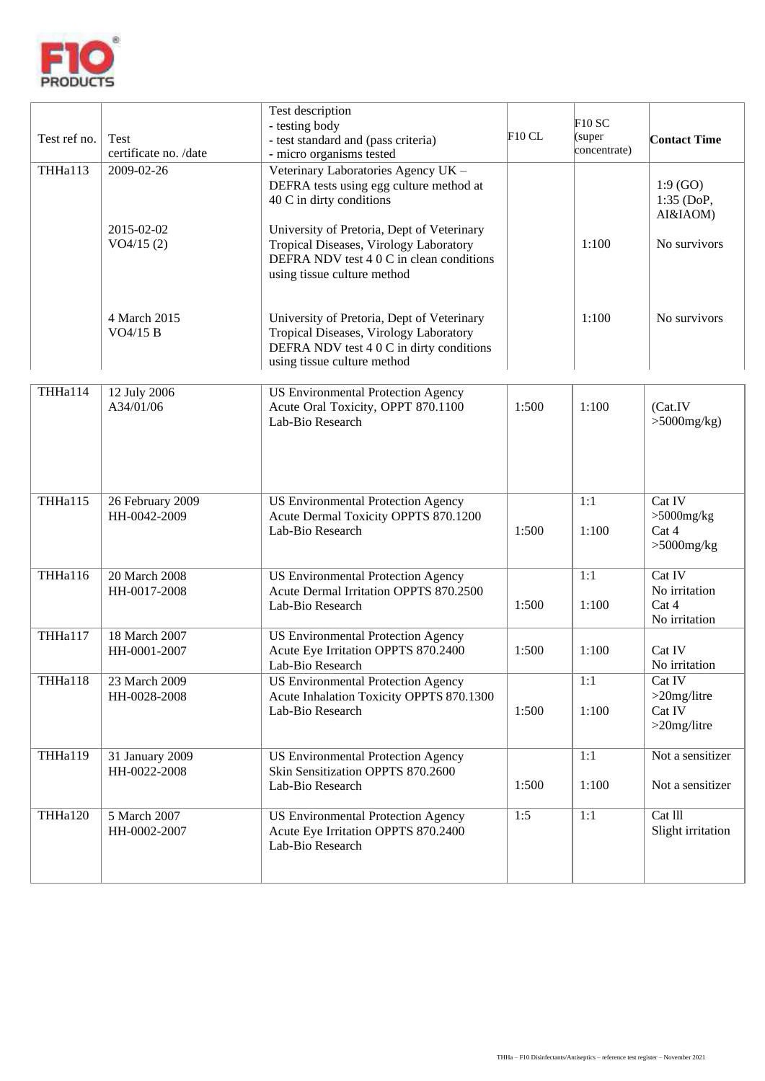

| Test ref no. | Test<br>certificate no. /date    | Test description<br>- testing body<br>- test standard and (pass criteria)<br>- micro organisms tested                                                           | F10CL | F10SC<br>(super)<br>concentrate) | <b>Contact Time</b>                               |
|--------------|----------------------------------|-----------------------------------------------------------------------------------------------------------------------------------------------------------------|-------|----------------------------------|---------------------------------------------------|
| THHa113      | $2009 - 02 - 26$                 | Veterinary Laboratories Agency UK -<br>DEFRA tests using egg culture method at<br>40 C in dirty conditions                                                      |       |                                  | 1:9(GO)<br>1:35 (DoP,<br>AI&IAOM)                 |
|              | 2015-02-02<br>VO4/15(2)          | University of Pretoria, Dept of Veterinary<br>Tropical Diseases, Virology Laboratory<br>DEFRA NDV test 4 0 C in clean conditions<br>using tissue culture method |       | 1:100                            | No survivors                                      |
|              | 4 March 2015<br>VO4/15 B         | University of Pretoria, Dept of Veterinary<br>Tropical Diseases, Virology Laboratory<br>DEFRA NDV test 4 0 C in dirty conditions<br>using tissue culture method |       | 1:100                            | No survivors                                      |
| THHa114      | 12 July 2006<br>A34/01/06        | <b>US Environmental Protection Agency</b><br>Acute Oral Toxicity, OPPT 870.1100<br>Lab-Bio Research                                                             | 1:500 | 1:100                            | (Cat.IV)<br>$>5000$ mg/kg)                        |
| THHa115      | 26 February 2009<br>HH-0042-2009 | <b>US Environmental Protection Agency</b><br>Acute Dermal Toxicity OPPTS 870.1200<br>Lab-Bio Research                                                           | 1:500 | 1:1<br>1:100                     | Cat IV<br>$>5000$ mg/kg<br>Cat 4<br>$>5000$ mg/kg |
| THHa116      | 20 March 2008<br>HH-0017-2008    | <b>US Environmental Protection Agency</b><br>Acute Dermal Irritation OPPTS 870.2500<br>Lab-Bio Research                                                         | 1:500 | 1:1<br>1:100                     | Cat IV<br>No irritation<br>Cat 4<br>No irritation |
| THHa117      | 18 March 2007<br>HH-0001-2007    | <b>US Environmental Protection Agency</b><br>Acute Eye Irritation OPPTS 870.2400<br>Lab-Bio Research                                                            | 1:500 | 1:100                            | Cat IV<br>No irritation                           |
| THHa118      | 23 March 2009<br>HH-0028-2008    | <b>US</b> Environmental Protection Agency<br>Acute Inhalation Toxicity OPPTS 870.1300<br>Lab-Bio Research                                                       | 1:500 | 1:1<br>1:100                     | Cat IV<br>$>20$ mg/litre<br>Cat IV<br>>20mg/litre |
| THHa119      | 31 January 2009<br>HH-0022-2008  | <b>US Environmental Protection Agency</b><br>Skin Sensitization OPPTS 870.2600<br>Lab-Bio Research                                                              | 1:500 | 1:1<br>1:100                     | Not a sensitizer<br>Not a sensitizer              |
| THHa120      | 5 March 2007<br>HH-0002-2007     | <b>US Environmental Protection Agency</b><br>Acute Eye Irritation OPPTS 870.2400<br>Lab-Bio Research                                                            | 1:5   | 1:1                              | Cat III<br>Slight irritation                      |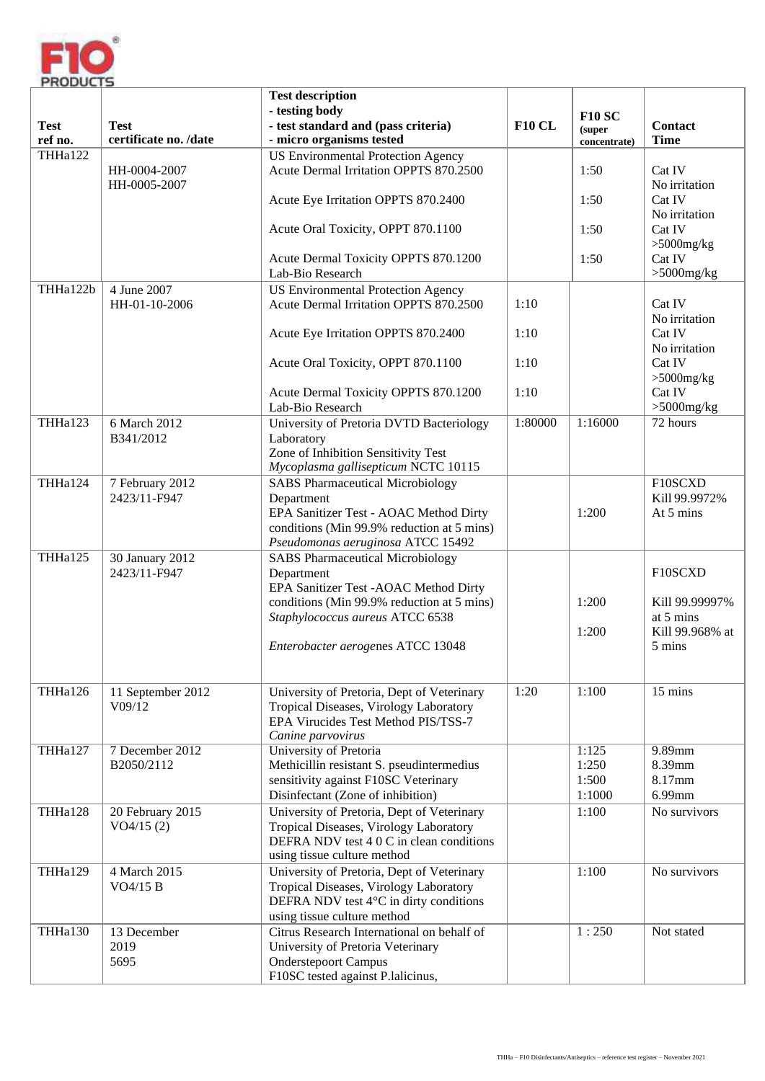

|                        |                                      | <b>Test description</b><br>- testing body                                                                       |               | <b>F10 SC</b>          |                              |
|------------------------|--------------------------------------|-----------------------------------------------------------------------------------------------------------------|---------------|------------------------|------------------------------|
| <b>Test</b><br>ref no. | <b>Test</b><br>certificate no. /date | - test standard and (pass criteria)<br>- micro organisms tested                                                 | <b>F10 CL</b> | (super<br>concentrate) | Contact<br><b>Time</b>       |
| THHa122                | HH-0004-2007                         | <b>US Environmental Protection Agency</b><br>Acute Dermal Irritation OPPTS 870.2500                             |               | 1:50                   | Cat IV                       |
|                        | HH-0005-2007                         |                                                                                                                 |               | 1:50                   | No irritation<br>Cat IV      |
|                        |                                      | Acute Eye Irritation OPPTS 870.2400                                                                             |               |                        | No irritation                |
|                        |                                      | Acute Oral Toxicity, OPPT 870.1100                                                                              |               | 1:50                   | Cat IV<br>$>5000$ mg/kg      |
|                        |                                      | Acute Dermal Toxicity OPPTS 870.1200<br>Lab-Bio Research                                                        |               | 1:50                   | Cat IV<br>$>5000$ mg/kg      |
| THHa122b               | 4 June 2007<br>HH-01-10-2006         | <b>US</b> Environmental Protection Agency<br>Acute Dermal Irritation OPPTS 870.2500                             | 1:10          |                        | Cat IV<br>No irritation      |
|                        |                                      | Acute Eye Irritation OPPTS 870.2400                                                                             | 1:10          |                        | Cat IV<br>No irritation      |
|                        |                                      | Acute Oral Toxicity, OPPT 870.1100                                                                              | 1:10          |                        | Cat IV<br>$>5000$ mg/kg      |
|                        |                                      | Acute Dermal Toxicity OPPTS 870.1200<br>Lab-Bio Research                                                        | 1:10          |                        | Cat IV<br>$>5000$ mg/kg      |
| THHa123                | 6 March 2012<br>B341/2012            | University of Pretoria DVTD Bacteriology<br>Laboratory                                                          | 1:80000       | 1:16000                | 72 hours                     |
|                        |                                      | Zone of Inhibition Sensitivity Test<br>Mycoplasma gallisepticum NCTC 10115                                      |               |                        |                              |
| THHa124                | 7 February 2012<br>2423/11-F947      | <b>SABS Pharmaceutical Microbiology</b><br>Department                                                           |               |                        | F10SCXD<br>Kill 99.9972%     |
|                        |                                      | EPA Sanitizer Test - AOAC Method Dirty<br>conditions (Min 99.9% reduction at 5 mins)                            |               | 1:200                  | At 5 mins                    |
| THHa125                | 30 January 2012                      | Pseudomonas aeruginosa ATCC 15492<br><b>SABS Pharmaceutical Microbiology</b>                                    |               |                        |                              |
|                        | 2423/11-F947                         | Department<br>EPA Sanitizer Test - AOAC Method Dirty                                                            |               |                        | F10SCXD                      |
|                        |                                      | conditions (Min 99.9% reduction at 5 mins)                                                                      |               | 1:200                  | Kill 99.99997%               |
|                        |                                      | Staphylococcus aureus ATCC 6538                                                                                 |               | 1:200                  | at 5 mins<br>Kill 99.968% at |
|                        |                                      | Enterobacter aerogenes ATCC 13048                                                                               |               |                        | 5 mins                       |
| THHa126                | 11 September 2012<br>V09/12          | University of Pretoria, Dept of Veterinary<br>Tropical Diseases, Virology Laboratory                            | 1:20          | 1:100                  | 15 mins                      |
|                        |                                      | EPA Virucides Test Method PIS/TSS-7<br>Canine parvovirus                                                        |               |                        |                              |
| THHa127                | 7 December 2012                      | <b>University of Pretoria</b>                                                                                   |               | 1:125                  | $9.89$ mm                    |
|                        | B2050/2112                           | Methicillin resistant S. pseudintermedius                                                                       |               | 1:250                  | 8.39mm                       |
|                        |                                      | sensitivity against F10SC Veterinary<br>Disinfectant (Zone of inhibition)                                       |               | 1:500<br>1:1000        | 8.17mm<br>6.99mm             |
| THHa128                | 20 February 2015                     | University of Pretoria, Dept of Veterinary                                                                      |               | 1:100                  | No survivors                 |
|                        | VO4/15(2)                            | Tropical Diseases, Virology Laboratory<br>DEFRA NDV test 4 0 C in clean conditions                              |               |                        |                              |
|                        |                                      | using tissue culture method                                                                                     |               |                        |                              |
| THHa129                | 4 March 2015                         | University of Pretoria, Dept of Veterinary                                                                      |               | 1:100                  | No survivors                 |
|                        | VO4/15 B                             | Tropical Diseases, Virology Laboratory<br>DEFRA NDV test 4°C in dirty conditions<br>using tissue culture method |               |                        |                              |
| THHa130                | 13 December                          | Citrus Research International on behalf of                                                                      |               | 1:250                  | Not stated                   |
|                        | 2019                                 | University of Pretoria Veterinary                                                                               |               |                        |                              |
|                        | 5695                                 | <b>Onderstepoort Campus</b>                                                                                     |               |                        |                              |
|                        |                                      | F10SC tested against P.lalicinus,                                                                               |               |                        |                              |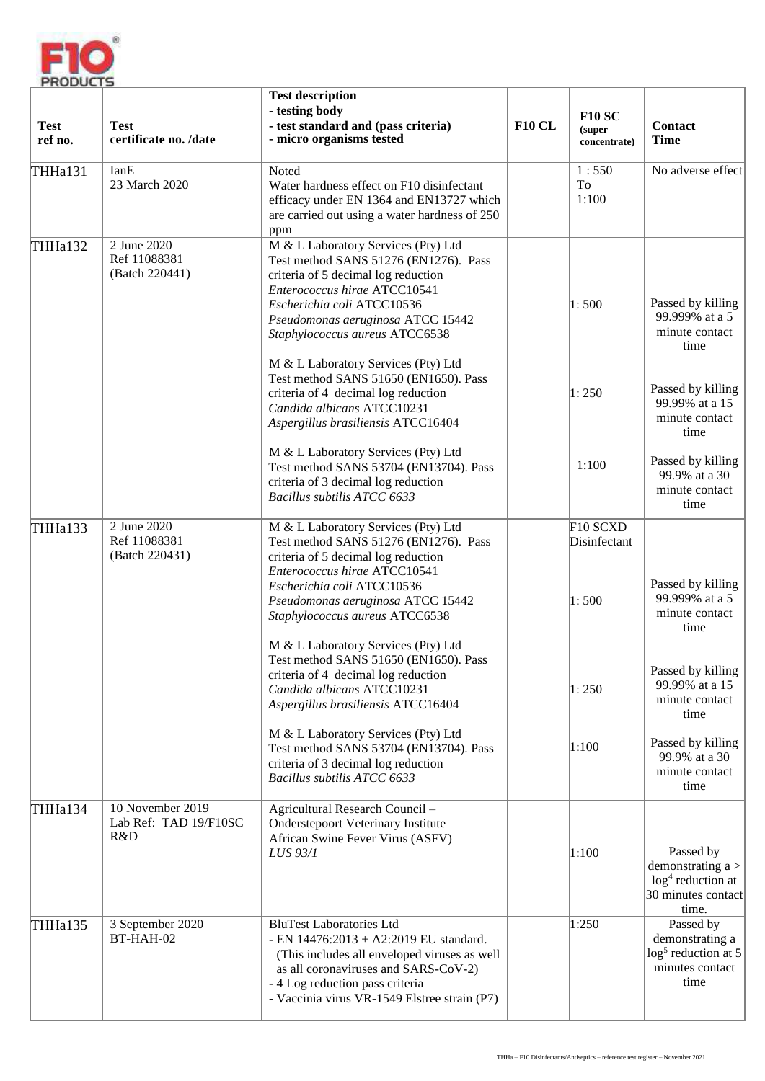

| <b>Test</b><br>ref no. | <b>Test</b><br>certificate no. /date             | <b>Test description</b><br>- testing body<br>- test standard and (pass criteria)<br>- micro organisms tested                                                                                                                                             | <b>F10 CL</b> | <b>F10 SC</b><br>(super<br>concentrate)       | Contact<br><b>Time</b>                                                                 |
|------------------------|--------------------------------------------------|----------------------------------------------------------------------------------------------------------------------------------------------------------------------------------------------------------------------------------------------------------|---------------|-----------------------------------------------|----------------------------------------------------------------------------------------|
| THHa131                | IanE<br>23 March 2020                            | Noted<br>Water hardness effect on F10 disinfectant<br>efficacy under EN 1364 and EN13727 which<br>are carried out using a water hardness of 250<br>ppm                                                                                                   |               | 1:550<br>To<br>1:100                          | No adverse effect                                                                      |
| THHa132                | 2 June 2020<br>Ref 11088381<br>(Batch 220441)    | M & L Laboratory Services (Pty) Ltd<br>Test method SANS 51276 (EN1276). Pass<br>criteria of 5 decimal log reduction<br>Enterococcus hirae ATCC10541<br>Escherichia coli ATCC10536<br>Pseudomonas aeruginosa ATCC 15442<br>Staphylococcus aureus ATCC6538 |               | 1:500                                         | Passed by killing<br>99.999% at a 5<br>minute contact<br>time                          |
|                        |                                                  | M & L Laboratory Services (Pty) Ltd<br>Test method SANS 51650 (EN1650). Pass<br>criteria of 4 decimal log reduction<br>Candida albicans ATCC10231<br>Aspergillus brasiliensis ATCC16404                                                                  |               | 1:250                                         | Passed by killing<br>99.99% at a 15<br>minute contact<br>time                          |
|                        |                                                  | M & L Laboratory Services (Pty) Ltd<br>Test method SANS 53704 (EN13704). Pass<br>criteria of 3 decimal log reduction<br>Bacillus subtilis ATCC 6633                                                                                                      |               | 1:100                                         | Passed by killing<br>99.9% at a 30<br>minute contact<br>time                           |
| THHa133                | 2 June 2020<br>Ref 11088381<br>(Batch 220431)    | M & L Laboratory Services (Pty) Ltd<br>Test method SANS 51276 (EN1276). Pass<br>criteria of 5 decimal log reduction<br>Enterococcus hirae ATCC10541<br>Escherichia coli ATCC10536<br>Pseudomonas aeruginosa ATCC 15442<br>Staphylococcus aureus ATCC6538 |               | F <sub>10</sub> SCXD<br>Disinfectant<br>1:500 | Passed by killing<br>99.999% at a 5<br>minute contact<br>time                          |
|                        |                                                  | M & L Laboratory Services (Pty) Ltd<br>Test method SANS 51650 (EN1650). Pass<br>criteria of 4 decimal log reduction<br>Candida albicans ATCC10231<br>Aspergillus brasiliensis ATCC16404                                                                  |               | 1:250                                         | Passed by killing<br>99.99% at a 15<br>minute contact<br>time                          |
|                        |                                                  | M & L Laboratory Services (Pty) Ltd<br>Test method SANS 53704 (EN13704). Pass<br>criteria of 3 decimal log reduction<br>Bacillus subtilis ATCC 6633                                                                                                      |               | 1:100                                         | Passed by killing<br>99.9% at a 30<br>minute contact<br>time                           |
| THHa134                | 10 November 2019<br>Lab Ref: TAD 19/F10SC<br>R&D | Agricultural Research Council-<br><b>Onderstepoort Veterinary Institute</b><br>African Swine Fever Virus (ASFV)<br>LUS 93/1                                                                                                                              |               | 1:100                                         | Passed by<br>demonstrating $a >$<br>$log4$ reduction at<br>30 minutes contact<br>time. |
| THHa135                | 3 September 2020<br>BT-HAH-02                    | <b>BluTest Laboratories Ltd</b><br>- EN 14476:2013 + A2:2019 EU standard.<br>(This includes all enveloped viruses as well<br>as all coronaviruses and SARS-CoV-2)<br>- 4 Log reduction pass criteria<br>- Vaccinia virus VR-1549 Elstree strain (P7)     |               | 1:250                                         | Passed by<br>demonstrating a<br>$log5$ reduction at 5<br>minutes contact<br>time       |